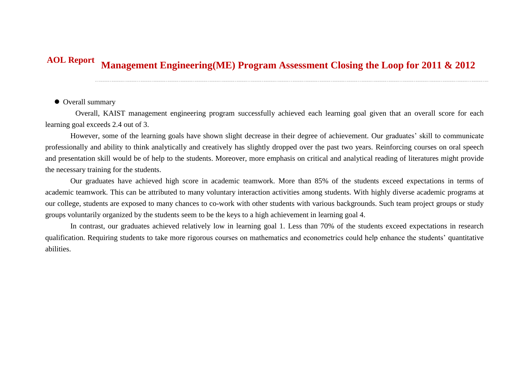## **Management Engineering(ME) Program Assessment Closing the Loop for 2011 & 2012 AOL Report**

## $\bullet$  Overall summary

Overall, KAIST management engineering program successfully achieved each learning goal given that an overall score for each learning goal exceeds 2.4 out of 3.

However, some of the learning goals have shown slight decrease in their degree of achievement. Our graduates' skill to communicate professionally and ability to think analytically and creatively has slightly dropped over the past two years. Reinforcing courses on oral speech and presentation skill would be of help to the students. Moreover, more emphasis on critical and analytical reading of literatures might provide the necessary training for the students.

Our graduates have achieved high score in academic teamwork. More than 85% of the students exceed expectations in terms of academic teamwork. This can be attributed to many voluntary interaction activities among students. With highly diverse academic programs at our college, students are exposed to many chances to co-work with other students with various backgrounds. Such team project groups or study groups voluntarily organized by the students seem to be the keys to a high achievement in learning goal 4.

In contrast, our graduates achieved relatively low in learning goal 1. Less than 70% of the students exceed expectations in research qualification. Requiring students to take more rigorous courses on mathematics and econometrics could help enhance the students' quantitative abilities.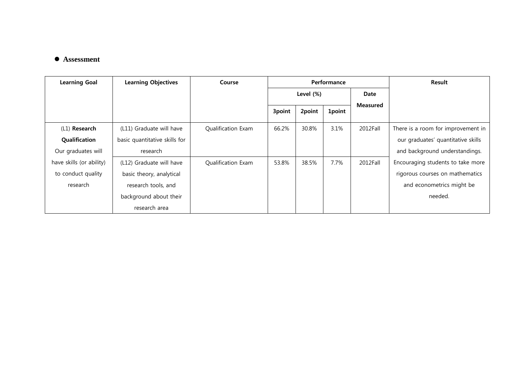## **Assessment**

| <b>Learning Goal</b>     | <b>Learning Objectives</b>    | Course             | Performance |        |               |                 | <b>Result</b>                      |
|--------------------------|-------------------------------|--------------------|-------------|--------|---------------|-----------------|------------------------------------|
|                          |                               |                    | Level (%)   |        |               | Date            |                                    |
|                          |                               |                    | 3point      | 2point | <b>1point</b> | <b>Measured</b> |                                    |
| (L1) Research            | (L11) Graduate will have      | Qualification Exam | 66.2%       | 30.8%  | 3.1%          | 2012Fall        | There is a room for improvement in |
| Qualification            | basic quantitative skills for |                    |             |        |               |                 | our graduates' quantitative skills |
| Our graduates will       | research                      |                    |             |        |               |                 | and background understandings.     |
| have skills (or ability) | (L12) Graduate will have      | Qualification Exam | 53.8%       | 38.5%  | 7.7%          | 2012Fall        | Encouraging students to take more  |
| to conduct quality       | basic theory, analytical      |                    |             |        |               |                 | rigorous courses on mathematics    |
| research                 | research tools, and           |                    |             |        |               |                 | and econometrics might be          |
|                          | background about their        |                    |             |        |               |                 | needed.                            |
|                          | research area                 |                    |             |        |               |                 |                                    |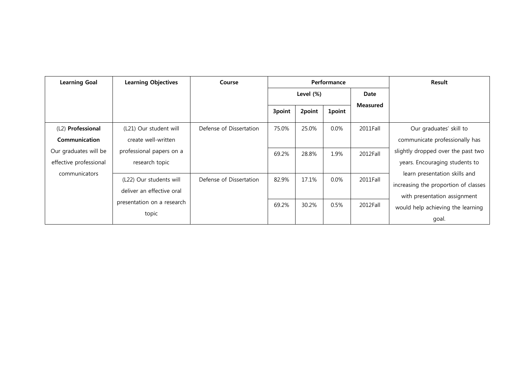| <b>Learning Goal</b>   | <b>Learning Objectives</b> | Course                  | Performance  |        |               |                 | Result                               |
|------------------------|----------------------------|-------------------------|--------------|--------|---------------|-----------------|--------------------------------------|
|                        |                            |                         | Level $(\%)$ |        | Date          |                 |                                      |
|                        |                            |                         | 3point       | 2point | <b>1point</b> | <b>Measured</b> |                                      |
| (L2) Professional      | (L21) Our student will     | Defense of Dissertation | 75.0%        | 25.0%  | $0.0\%$       | 2011Fall        | Our graduates' skill to              |
| Communication          | create well-written        |                         |              |        |               |                 | communicate professionally has       |
| Our graduates will be  | professional papers on a   |                         | 69.2%        | 28.8%  | 1.9%          | 2012Fall        | slightly dropped over the past two   |
| effective professional | research topic             |                         |              |        |               |                 | years. Encouraging students to       |
| communicators          |                            |                         |              |        |               |                 | learn presentation skills and        |
|                        | (L22) Our students will    | Defense of Dissertation | 82.9%        | 17.1%  | $0.0\%$       | 2011Fall        | increasing the proportion of classes |
|                        | deliver an effective oral  |                         |              |        |               |                 | with presentation assignment         |
|                        | presentation on a research |                         | 69.2%        | 30.2%  | 0.5%          | 2012Fall        | would help achieving the learning    |
|                        | topic                      |                         |              |        |               |                 | goal.                                |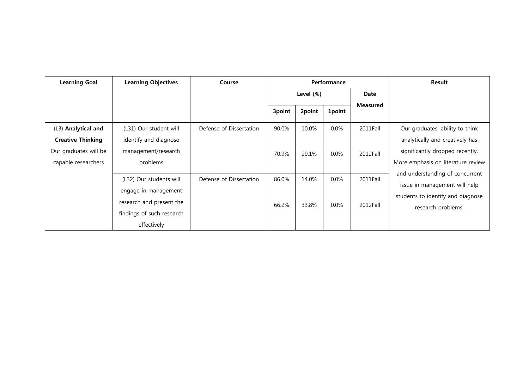| <b>Learning Goal</b>                            | <b>Learning Objectives</b>                                           | Course                  | Performance |        |               |                 | <b>Result</b>                                                                                                               |
|-------------------------------------------------|----------------------------------------------------------------------|-------------------------|-------------|--------|---------------|-----------------|-----------------------------------------------------------------------------------------------------------------------------|
|                                                 |                                                                      |                         | Level (%)   |        | Date          |                 |                                                                                                                             |
|                                                 |                                                                      |                         | 3point      | 2point | <b>1point</b> | <b>Measured</b> |                                                                                                                             |
| (L3) Analytical and<br><b>Creative Thinking</b> | (L31) Our student will<br>identify and diagnose                      | Defense of Dissertation | 90.0%       | 10.0%  | $0.0\%$       | 2011Fall        | Our graduates' ability to think<br>analytically and creatively has                                                          |
| Our graduates will be<br>capable researchers    | management/research<br>problems                                      |                         | 70.9%       | 29.1%  | $0.0\%$       | 2012Fall        | significantly dropped recently.<br>More emphasis on literature review                                                       |
|                                                 | (L32) Our students will<br>engage in management                      | Defense of Dissertation | 86.0%       | 14.0%  | $0.0\%$       | 2011Fall        | and understanding of concurrent<br>issue in management will help<br>students to identify and diagnose<br>research problems. |
|                                                 | research and present the<br>findings of such research<br>effectively |                         | 66.2%       | 33.8%  | $0.0\%$       | 2012Fall        |                                                                                                                             |